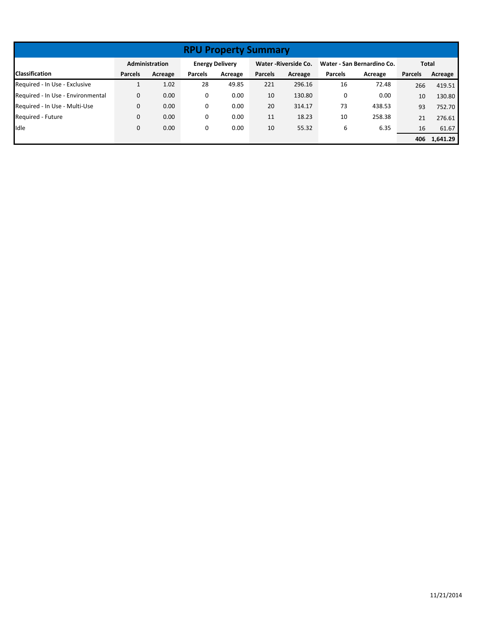| <b>RPU Property Summary</b>       |                |                                                                   |                |         |                |                            |                |         |                |          |
|-----------------------------------|----------------|-------------------------------------------------------------------|----------------|---------|----------------|----------------------------|----------------|---------|----------------|----------|
|                                   |                | Administration<br><b>Energy Delivery</b><br>Water - Riverside Co. |                |         |                | Water - San Bernardino Co. |                | Total   |                |          |
| <b>Classification</b>             | <b>Parcels</b> | Acreage                                                           | <b>Parcels</b> | Acreage | <b>Parcels</b> | Acreage                    | <b>Parcels</b> | Acreage | <b>Parcels</b> | Acreage  |
| Required - In Use - Exclusive     |                | 1.02                                                              | 28             | 49.85   | 221            | 296.16                     | 16             | 72.48   | 266            | 419.51   |
| Required - In Use - Environmental | 0              | 0.00                                                              | 0              | 0.00    | 10             | 130.80                     | 0              | 0.00    | 10             | 130.80   |
| Required - In Use - Multi-Use     | 0              | 0.00                                                              | 0              | 0.00    | 20             | 314.17                     | 73             | 438.53  | 93             | 752.70   |
| Required - Future                 | 0              | 0.00                                                              | 0              | 0.00    | 11             | 18.23                      | 10             | 258.38  | 21             | 276.61   |
| Idle                              | 0              | 0.00                                                              | 0              | 0.00    | 10             | 55.32                      | 6              | 6.35    | 16             | 61.67    |
|                                   |                |                                                                   |                |         |                |                            |                |         | 406            | 1,641.29 |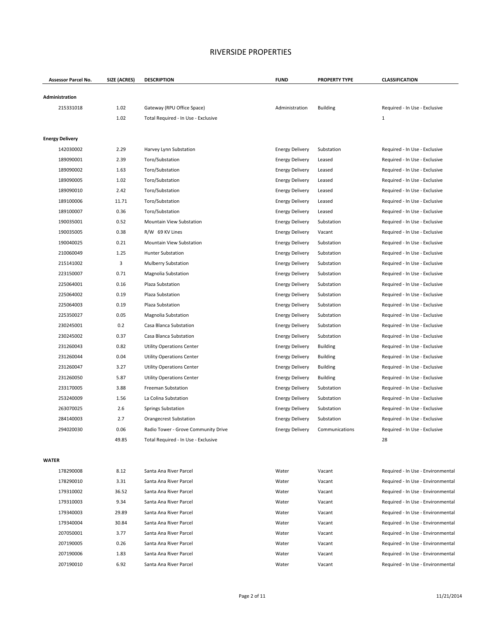| Assessor Parcel No.    | SIZE (ACRES) | <b>DESCRIPTION</b>                  | <b>FUND</b>            | <b>PROPERTY TYPE</b> | <b>CLASSIFICATION</b>             |
|------------------------|--------------|-------------------------------------|------------------------|----------------------|-----------------------------------|
| Administration         |              |                                     |                        |                      |                                   |
| 215331018              | 1.02         | Gateway (RPU Office Space)          | Administration         | <b>Building</b>      | Required - In Use - Exclusive     |
|                        | 1.02         | Total Required - In Use - Exclusive |                        |                      | $\mathbf{1}$                      |
|                        |              |                                     |                        |                      |                                   |
| <b>Energy Delivery</b> |              |                                     |                        |                      |                                   |
| 142030002              | 2.29         | Harvey Lynn Substation              | <b>Energy Delivery</b> | Substation           | Required - In Use - Exclusive     |
| 189090001              | 2.39         | Toro/Substation                     | <b>Energy Delivery</b> | Leased               | Required - In Use - Exclusive     |
| 189090002              | 1.63         | Toro/Substation                     | <b>Energy Delivery</b> | Leased               | Required - In Use - Exclusive     |
| 189090005              | 1.02         | Toro/Substation                     | <b>Energy Delivery</b> | Leased               | Required - In Use - Exclusive     |
| 189090010              | 2.42         | Toro/Substation                     | <b>Energy Delivery</b> | Leased               | Required - In Use - Exclusive     |
| 189100006              | 11.71        | Toro/Substation                     | <b>Energy Delivery</b> | Leased               | Required - In Use - Exclusive     |
| 189100007              | 0.36         | Toro/Substation                     | <b>Energy Delivery</b> | Leased               | Required - In Use - Exclusive     |
| 190035001              | 0.52         | Mountain View Substation            | <b>Energy Delivery</b> | Substation           | Required - In Use - Exclusive     |
| 190035005              | 0.38         | R/W 69 KV Lines                     | <b>Energy Delivery</b> | Vacant               | Required - In Use - Exclusive     |
| 190040025              | 0.21         | Mountain View Substation            | <b>Energy Delivery</b> | Substation           | Required - In Use - Exclusive     |
| 210060049              | 1.25         | Hunter Substation                   | <b>Energy Delivery</b> | Substation           | Required - In Use - Exclusive     |
| 215141002              | 3            | <b>Mulberry Substation</b>          | <b>Energy Delivery</b> | Substation           | Required - In Use - Exclusive     |
| 223150007              | 0.71         | Magnolia Substation                 | <b>Energy Delivery</b> | Substation           | Required - In Use - Exclusive     |
| 225064001              | 0.16         | Plaza Substation                    | <b>Energy Delivery</b> | Substation           | Required - In Use - Exclusive     |
| 225064002              | 0.19         | Plaza Substation                    | <b>Energy Delivery</b> | Substation           | Required - In Use - Exclusive     |
| 225064003              | 0.19         | Plaza Substation                    | <b>Energy Delivery</b> | Substation           | Required - In Use - Exclusive     |
| 225350027              | 0.05         | <b>Magnolia Substation</b>          | <b>Energy Delivery</b> | Substation           | Required - In Use - Exclusive     |
| 230245001              | 0.2          | Casa Blanca Substation              | <b>Energy Delivery</b> | Substation           | Required - In Use - Exclusive     |
| 230245002              | 0.37         | Casa Blanca Substation              | <b>Energy Delivery</b> | Substation           | Required - In Use - Exclusive     |
| 231260043              | 0.82         | <b>Utility Operations Center</b>    | <b>Energy Delivery</b> | <b>Building</b>      | Required - In Use - Exclusive     |
| 231260044              | 0.04         | <b>Utility Operations Center</b>    | <b>Energy Delivery</b> | <b>Building</b>      | Required - In Use - Exclusive     |
| 231260047              | 3.27         | <b>Utility Operations Center</b>    | <b>Energy Delivery</b> | <b>Building</b>      | Required - In Use - Exclusive     |
| 231260050              | 5.87         | <b>Utility Operations Center</b>    | <b>Energy Delivery</b> | <b>Building</b>      | Required - In Use - Exclusive     |
| 233170005              | 3.88         | <b>Freeman Substation</b>           | <b>Energy Delivery</b> | Substation           | Required - In Use - Exclusive     |
| 253240009              | 1.56         | La Colina Substation                | <b>Energy Delivery</b> | Substation           | Required - In Use - Exclusive     |
| 263070025              | 2.6          | <b>Springs Substation</b>           | <b>Energy Delivery</b> | Substation           | Required - In Use - Exclusive     |
| 284140003              | 2.7          | <b>Orangecrest Substation</b>       | <b>Energy Delivery</b> | Substation           | Required - In Use - Exclusive     |
| 294020030              | 0.06         | Radio Tower - Grove Community Drive | <b>Energy Delivery</b> | Communications       | Required - In Use - Exclusive     |
|                        | 49.85        | Total Required - In Use - Exclusive |                        |                      | 28                                |
| <b>WATER</b>           |              |                                     |                        |                      |                                   |
| 178290008              | 8.12         | Santa Ana River Parcel              | Water                  | Vacant               | Required - In Use - Environmental |
| 178290010              | 3.31         | Santa Ana River Parcel              | Water                  | Vacant               | Required - In Use - Environmental |
| 179310002              | 36.52        | Santa Ana River Parcel              | Water                  | Vacant               | Required - In Use - Environmental |
| 179310003              | 9.34         | Santa Ana River Parcel              | Water                  | Vacant               | Required - In Use - Environmental |
| 179340003              | 29.89        | Santa Ana River Parcel              | Water                  | Vacant               | Required - In Use - Environmental |
| 179340004              | 30.84        | Santa Ana River Parcel              | Water                  | Vacant               | Required - In Use - Environmental |
| 207050001              | 3.77         | Santa Ana River Parcel              | Water                  | Vacant               | Required - In Use - Environmental |
| 207190005              | 0.26         | Santa Ana River Parcel              | Water                  | Vacant               | Required - In Use - Environmental |
| 207190006              | 1.83         | Santa Ana River Parcel              | Water                  | Vacant               | Required - In Use - Environmental |
| 207190010              | 6.92         | Santa Ana River Parcel              | Water                  | Vacant               | Required - In Use - Environmental |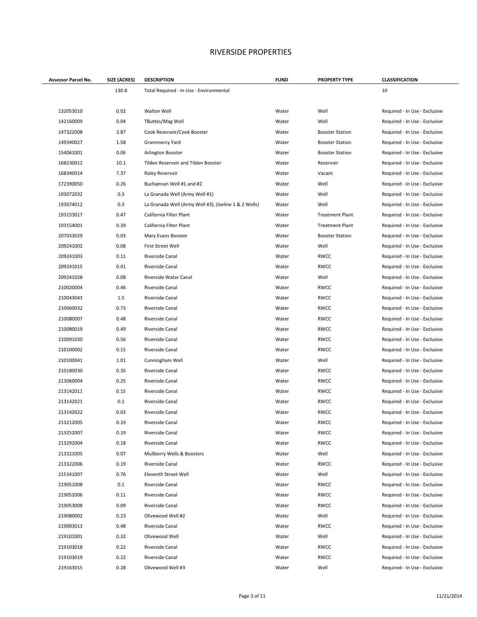| Assessor Parcel No. | SIZE (ACRES) | <b>DESCRIPTION</b>                                    | <b>FUND</b> | <b>PROPERTY TYPE</b>   | <b>CLASSIFICATION</b>         |
|---------------------|--------------|-------------------------------------------------------|-------------|------------------------|-------------------------------|
|                     | 130.8        | Total Required - In Use - Environmental               |             |                        | 10                            |
|                     |              |                                                       |             |                        |                               |
| 132053010           | 0.02         | Walton Well                                           | Water       | Well                   | Required - In Use - Exclusive |
| 142160009           | 0.04         | TButtes/Mag Well                                      | Water       | Well                   | Required - In Use - Exclusive |
| 147322008           | 3.87         | Cook Reservoir/Cook Booster                           | Water       | <b>Booster Station</b> | Required - In Use - Exclusive |
| 149340027           | 1.58         | Grammercy Yard                                        | Water       | <b>Booster Station</b> | Required - In Use - Exclusive |
| 154061001           | 0.06         | Arlington Booster                                     | Water       | <b>Booster Station</b> | Required - In Use - Exclusive |
| 168230012           | 10.1         | Tilden Reservoir and Tilden Booster                   | Water       | Reservoir              | Required - In Use - Exclusive |
| 168340014           | 7.37         | Raley Reservoir                                       | Water       | Vacant                 | Required - In Use - Exclusive |
| 172390050           | 0.26         | Buchannan Well #1 and #2                              | Water       | Well                   | Required - In Use - Exclusive |
| 193072032           | 0.3          | La Granada Well (Army Well #1)                        | Water       | Well                   | Required - In Use - Exclusive |
| 193074012           | 0.3          | La Granada Well (Army Well #3), (Iseline 1 & 2 Wells) | Water       | Well                   | Required - In Use - Exclusive |
| 193153017           | 0.47         | California Filter Plant                               | Water       | <b>Treatment Plant</b> | Required - In Use - Exclusive |
| 193154001           | 0.39         | California Filter Plant                               | Water       | <b>Treatment Plant</b> | Required - In Use - Exclusive |
| 207033029           | 0.03         | Mary Evans Booster                                    | Water       | <b>Booster Station</b> | Required - In Use - Exclusive |
| 209241002           | 0.08         | First Street Well                                     | Water       | Well                   | Required - In Use - Exclusive |
| 209241003           | 0.11         | Riverside Canal                                       | Water       | <b>RWCC</b>            | Required - In Use - Exclusive |
| 209241015           | 0.41         | Riverside Canal                                       | Water       | RWCC                   | Required - In Use - Exclusive |
| 209241028           | 0.08         | Riverside Water Canal                                 | Water       | Well                   | Required - In Use - Exclusive |
| 210020004           | 0.46         | Riverside Canal                                       | Water       | RWCC                   | Required - In Use - Exclusive |
| 210043043           | 1.5          | Riverside Canal                                       | Water       | RWCC                   | Required - In Use - Exclusive |
| 210060032           | 0.73         | Riverside Canal                                       | Water       | RWCC                   | Required - In Use - Exclusive |
| 210080007           | 0.48         | Riverside Canal                                       | Water       | RWCC                   | Required - In Use - Exclusive |
| 210080019           | 0.49         | Riverside Canal                                       | Water       | RWCC                   | Required - In Use - Exclusive |
| 210091030           | 0.56         | Riverside Canal                                       | Water       | RWCC                   | Required - In Use - Exclusive |
| 210100002           | 0.15         | Riverside Canal                                       | Water       | RWCC                   | Required - In Use - Exclusive |
| 210100041           | 1.01         | Cunningham Well                                       | Water       | Well                   | Required - In Use - Exclusive |
| 210180030           | 0.35         | Riverside Canal                                       | Water       | RWCC                   | Required - In Use - Exclusive |
| 213060004           | 0.25         | Riverside Canal                                       | Water       | <b>RWCC</b>            | Required - In Use - Exclusive |
| 213142011           | 0.15         | Riverside Canal                                       | Water       | RWCC                   | Required - In Use - Exclusive |
| 213142021           | 0.1          | Riverside Canal                                       | Water       | RWCC                   | Required - In Use - Exclusive |
| 213142022           | 0.02         | Riverside Canal                                       | Water       | RWCC                   | Required - In Use - Exclusive |
| 213212005           | 0.19         | Riverside Canal                                       | Water       | <b>RWCC</b>            | Required - In Use - Exclusive |
| 213252007           | 0.19         | Riverside Canal                                       | Water       | RWCC                   | Required - In Use - Exclusive |
| 213292004           | 0.18         | Riverside Canal                                       | Water       | RWCC                   | Required - In Use - Exclusive |
| 213321005           | 0.07         | Mullberry Wells & Boosters                            | Water       | Well                   | Required - In Use - Exclusive |
| 213322006           | 0.19         | Riverside Canal                                       | Water       | RWCC                   | Required - In Use - Exclusive |
| 215341007           | 0.76         | Eleventh Street Well                                  | Water       | Well                   | Required - In Use - Exclusive |
| 219051008           | 0.1          | Riverside Canal                                       | Water       | RWCC                   | Required - In Use - Exclusive |
| 219052006           | 0.11         | Riverside Canal                                       | Water       | RWCC                   | Required - In Use - Exclusive |
| 219053008           | 0.09         | Riverside Canal                                       | Water       | RWCC                   | Required - In Use - Exclusive |
| 219080002           | 0.23         | Olivewood Well #2                                     | Water       | Well                   | Required - In Use - Exclusive |
| 219093013           | 0.48         | Riverside Canal                                       | Water       | RWCC                   | Required - In Use - Exclusive |
| 219101001           | 0.32         | Olivewood Well                                        | Water       | Well                   | Required - In Use - Exclusive |
| 219103018           | 0.22         | Riverside Canal                                       | Water       | RWCC                   | Required - In Use - Exclusive |
| 219103019           | 0.22         | Riverside Canal                                       | Water       | RWCC                   | Required - In Use - Exclusive |
| 219163015           | 0.28         | Olivewood Well #3                                     | Water       | Well                   | Required - In Use - Exclusive |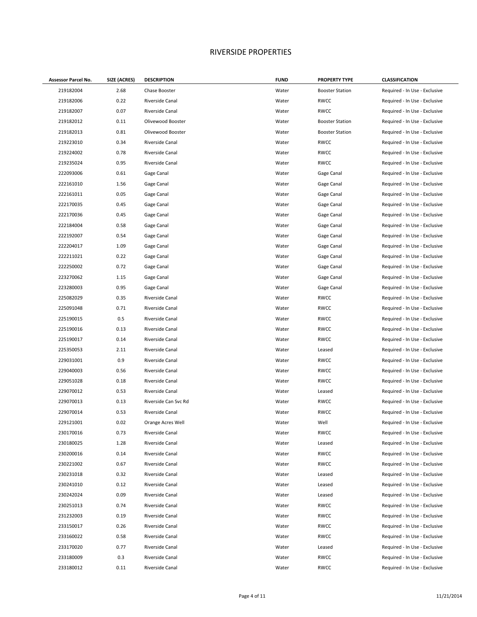| Assessor Parcel No. | SIZE (ACRES) | <b>DESCRIPTION</b>   | <b>FUND</b> | <b>PROPERTY TYPE</b>   | <b>CLASSIFICATION</b>         |
|---------------------|--------------|----------------------|-------------|------------------------|-------------------------------|
| 219182004           | 2.68         | Chase Booster        | Water       | <b>Booster Station</b> | Required - In Use - Exclusive |
| 219182006           | 0.22         | Riverside Canal      | Water       | <b>RWCC</b>            | Required - In Use - Exclusive |
| 219182007           | 0.07         | Riverside Canal      | Water       | <b>RWCC</b>            | Required - In Use - Exclusive |
| 219182012           | 0.11         | Olivewood Booster    | Water       | <b>Booster Station</b> | Required - In Use - Exclusive |
| 219182013           | 0.81         | Olivewood Booster    | Water       | <b>Booster Station</b> | Required - In Use - Exclusive |
| 219223010           | 0.34         | Riverside Canal      | Water       | <b>RWCC</b>            | Required - In Use - Exclusive |
| 219224002           | 0.78         | Riverside Canal      | Water       | <b>RWCC</b>            | Required - In Use - Exclusive |
| 219235024           | 0.95         | Riverside Canal      | Water       | <b>RWCC</b>            | Required - In Use - Exclusive |
| 222093006           | 0.61         | Gage Canal           | Water       | Gage Canal             | Required - In Use - Exclusive |
| 222161010           | 1.56         | Gage Canal           | Water       | Gage Canal             | Required - In Use - Exclusive |
| 222161011           | 0.05         | Gage Canal           | Water       | Gage Canal             | Required - In Use - Exclusive |
| 222170035           | 0.45         | Gage Canal           | Water       | Gage Canal             | Required - In Use - Exclusive |
| 222170036           | 0.45         | Gage Canal           | Water       | Gage Canal             | Required - In Use - Exclusive |
| 222184004           | 0.58         | Gage Canal           | Water       | Gage Canal             | Required - In Use - Exclusive |
| 222192007           | 0.54         | Gage Canal           | Water       | Gage Canal             | Required - In Use - Exclusive |
| 222204017           | 1.09         | Gage Canal           | Water       | Gage Canal             | Required - In Use - Exclusive |
| 222211021           | 0.22         | Gage Canal           | Water       | Gage Canal             | Required - In Use - Exclusive |
| 222250002           | 0.72         | Gage Canal           | Water       | Gage Canal             | Required - In Use - Exclusive |
| 223270062           | 1.15         | Gage Canal           | Water       | Gage Canal             | Required - In Use - Exclusive |
| 223280003           | 0.95         | Gage Canal           | Water       | Gage Canal             | Required - In Use - Exclusive |
| 225082029           | 0.35         | Riverside Canal      | Water       | <b>RWCC</b>            | Required - In Use - Exclusive |
| 225091048           | 0.71         | Riverside Canal      | Water       | <b>RWCC</b>            | Required - In Use - Exclusive |
| 225190015           | 0.5          | Riverside Canal      | Water       | <b>RWCC</b>            | Required - In Use - Exclusive |
| 225190016           | 0.13         | Riverside Canal      | Water       | <b>RWCC</b>            | Required - In Use - Exclusive |
| 225190017           | 0.14         | Riverside Canal      | Water       | <b>RWCC</b>            | Required - In Use - Exclusive |
| 225350053           | 2.11         | Riverside Canal      | Water       | Leased                 | Required - In Use - Exclusive |
| 229031001           | 0.9          | Riverside Canal      | Water       | <b>RWCC</b>            | Required - In Use - Exclusive |
| 229040003           | 0.56         | Riverside Canal      | Water       | <b>RWCC</b>            | Required - In Use - Exclusive |
| 229051028           | 0.18         | Riverside Canal      | Water       | <b>RWCC</b>            | Required - In Use - Exclusive |
| 229070012           | 0.53         | Riverside Canal      | Water       | Leased                 | Required - In Use - Exclusive |
| 229070013           | 0.13         | Riverside Can Svc Rd | Water       | <b>RWCC</b>            | Required - In Use - Exclusive |
| 229070014           | 0.53         | Riverside Canal      | Water       | <b>RWCC</b>            | Required - In Use - Exclusive |
| 229121001           | 0.02         | Orange Acres Well    | Water       | Well                   | Required - In Use - Exclusive |
| 230170016           | 0.73         | Riverside Canal      | Water       | <b>RWCC</b>            | Required - In Use - Exclusive |
| 230180025           | 1.28         | Riverside Canal      | Water       | Leased                 | Required - In Use - Exclusive |
| 230200016           | 0.14         | Riverside Canal      | Water       | RWCC                   | Required - In Use - Exclusive |
| 230221002           | 0.67         | Riverside Canal      | Water       | <b>RWCC</b>            | Required - In Use - Exclusive |
| 230231018           | 0.32         | Riverside Canal      | Water       | Leased                 | Required - In Use - Exclusive |
| 230241010           | 0.12         | Riverside Canal      | Water       | Leased                 | Required - In Use - Exclusive |
| 230242024           | 0.09         | Riverside Canal      | Water       | Leased                 | Required - In Use - Exclusive |
| 230251013           | 0.74         | Riverside Canal      | Water       | <b>RWCC</b>            | Required - In Use - Exclusive |
| 231232003           | 0.19         | Riverside Canal      | Water       | <b>RWCC</b>            | Required - In Use - Exclusive |
| 233150017           | 0.26         | Riverside Canal      | Water       | <b>RWCC</b>            | Required - In Use - Exclusive |
| 233160022           | 0.58         | Riverside Canal      | Water       | <b>RWCC</b>            | Required - In Use - Exclusive |
| 233170020           | 0.77         | Riverside Canal      | Water       | Leased                 | Required - In Use - Exclusive |
| 233180009           | 0.3          | Riverside Canal      | Water       | <b>RWCC</b>            | Required - In Use - Exclusive |
| 233180012           | 0.11         | Riverside Canal      | Water       | <b>RWCC</b>            | Required - In Use - Exclusive |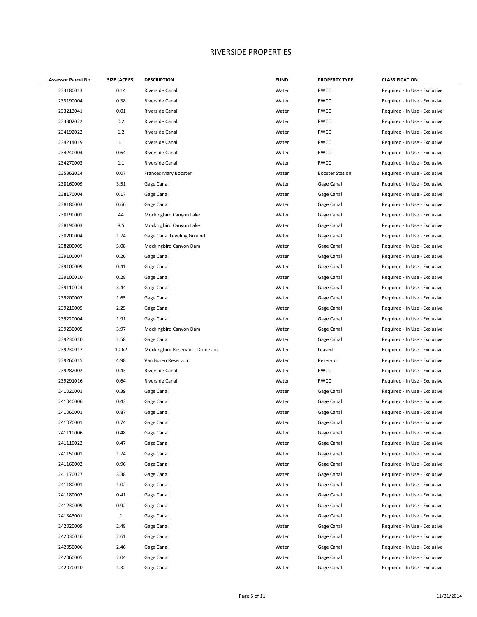| Assessor Parcel No. | SIZE (ACRES) | <b>DESCRIPTION</b>               | <b>FUND</b> | <b>PROPERTY TYPE</b>   | <b>CLASSIFICATION</b>         |
|---------------------|--------------|----------------------------------|-------------|------------------------|-------------------------------|
| 233180013           | 0.14         | Riverside Canal                  | Water       | <b>RWCC</b>            | Required - In Use - Exclusive |
| 233190004           | 0.38         | Riverside Canal                  | Water       | <b>RWCC</b>            | Required - In Use - Exclusive |
| 233213041           | 0.01         | Riverside Canal                  | Water       | <b>RWCC</b>            | Required - In Use - Exclusive |
| 233302022           | 0.2          | Riverside Canal                  | Water       | <b>RWCC</b>            | Required - In Use - Exclusive |
| 234192022           | 1.2          | Riverside Canal                  | Water       | <b>RWCC</b>            | Required - In Use - Exclusive |
| 234214019           | 1.1          | Riverside Canal                  | Water       | <b>RWCC</b>            | Required - In Use - Exclusive |
| 234240004           | 0.64         | Riverside Canal                  | Water       | <b>RWCC</b>            | Required - In Use - Exclusive |
| 234270003           | 1.1          | Riverside Canal                  | Water       | <b>RWCC</b>            | Required - In Use - Exclusive |
| 235362024           | 0.07         | Frances Mary Booster             | Water       | <b>Booster Station</b> | Required - In Use - Exclusive |
| 238160009           | 3.51         | Gage Canal                       | Water       | Gage Canal             | Required - In Use - Exclusive |
| 238170004           | 0.17         | Gage Canal                       | Water       | Gage Canal             | Required - In Use - Exclusive |
| 238180003           | 0.66         | Gage Canal                       | Water       | Gage Canal             | Required - In Use - Exclusive |
| 238190001           | 44           | Mockingbird Canyon Lake          | Water       | Gage Canal             | Required - In Use - Exclusive |
| 238190003           | 8.5          | Mockingbird Canyon Lake          | Water       | Gage Canal             | Required - In Use - Exclusive |
| 238200004           | 1.74         | Gage Canal Leveling Ground       | Water       | Gage Canal             | Required - In Use - Exclusive |
| 238200005           | 5.08         | Mockingbird Canyon Dam           | Water       | Gage Canal             | Required - In Use - Exclusive |
| 239100007           | 0.26         | Gage Canal                       | Water       | Gage Canal             | Required - In Use - Exclusive |
| 239100009           | 0.41         | Gage Canal                       | Water       | Gage Canal             | Required - In Use - Exclusive |
| 239100010           | 0.28         | Gage Canal                       | Water       | Gage Canal             | Required - In Use - Exclusive |
| 239110024           | 3.44         | Gage Canal                       | Water       | Gage Canal             | Required - In Use - Exclusive |
| 239200007           | 1.65         | Gage Canal                       | Water       | Gage Canal             | Required - In Use - Exclusive |
| 239210005           | 2.25         | Gage Canal                       | Water       | Gage Canal             | Required - In Use - Exclusive |
| 239220004           | 1.91         | Gage Canal                       | Water       | Gage Canal             | Required - In Use - Exclusive |
| 239230005           | 3.97         | Mockingbird Canyon Dam           | Water       | Gage Canal             | Required - In Use - Exclusive |
| 239230010           | 1.58         | Gage Canal                       | Water       | Gage Canal             | Required - In Use - Exclusive |
| 239230017           | 10.62        | Mockingbird Reservoir - Domestic | Water       | Leased                 | Required - In Use - Exclusive |
| 239260015           | 4.98         | Van Buren Reservoir              | Water       | Reservoir              | Required - In Use - Exclusive |
| 239282002           | 0.43         | Riverside Canal                  | Water       | <b>RWCC</b>            | Required - In Use - Exclusive |
| 239291016           | 0.64         | Riverside Canal                  | Water       | <b>RWCC</b>            | Required - In Use - Exclusive |
| 241020001           | 0.39         | Gage Canal                       | Water       | Gage Canal             | Required - In Use - Exclusive |
| 241040006           | 0.43         | Gage Canal                       | Water       | Gage Canal             | Required - In Use - Exclusive |
| 241060001           | 0.87         | Gage Canal                       | Water       | Gage Canal             | Required - In Use - Exclusive |
| 241070001           | 0.74         | Gage Canal                       | Water       | Gage Canal             | Required - In Use - Exclusive |
| 241110006           | 0.48         | Gage Canal                       | Water       | Gage Canal             | Required - In Use - Exclusive |
| 241110022           | 0.47         | Gage Canal                       | Water       | Gage Canal             | Required - In Use - Exclusive |
| 241150001           | 1.74         | Gage Canal                       | Water       | Gage Canal             | Required - In Use - Exclusive |
| 241160002           | 0.96         | Gage Canal                       | Water       | Gage Canal             | Required - In Use - Exclusive |
| 241170027           | 3.38         | Gage Canal                       | Water       | Gage Canal             | Required - In Use - Exclusive |
| 241180001           | 1.02         | Gage Canal                       | Water       | Gage Canal             | Required - In Use - Exclusive |
| 241180002           | 0.41         | Gage Canal                       | Water       | Gage Canal             | Required - In Use - Exclusive |
| 241230009           | 0.92         | Gage Canal                       | Water       | Gage Canal             | Required - In Use - Exclusive |
| 241343001           | $\mathbf{1}$ | Gage Canal                       | Water       | Gage Canal             | Required - In Use - Exclusive |
| 242020009           | 2.48         | Gage Canal                       | Water       | Gage Canal             | Required - In Use - Exclusive |
| 242030016           | 2.61         | Gage Canal                       | Water       | Gage Canal             | Required - In Use - Exclusive |
| 242050006           | 2.46         | Gage Canal                       | Water       | Gage Canal             | Required - In Use - Exclusive |
| 242060005           | 2.04         | Gage Canal                       | Water       | Gage Canal             | Required - In Use - Exclusive |
| 242070010           | 1.32         | Gage Canal                       | Water       | Gage Canal             | Required - In Use - Exclusive |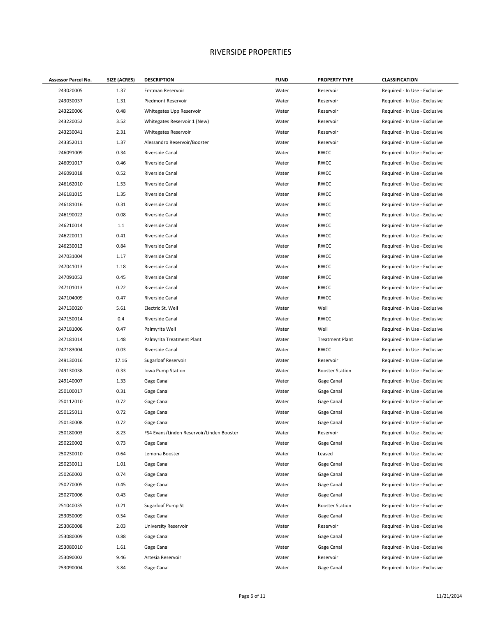| <b>Assessor Parcel No.</b> | SIZE (ACRES) | <b>DESCRIPTION</b>                        | <b>FUND</b> | <b>PROPERTY TYPE</b>   | <b>CLASSIFICATION</b>         |
|----------------------------|--------------|-------------------------------------------|-------------|------------------------|-------------------------------|
| 243020005                  | 1.37         | Emtman Reservoir                          | Water       | Reservoir              | Required - In Use - Exclusive |
| 243030037                  | 1.31         | Piedmont Reservoir                        | Water       | Reservoir              | Required - In Use - Exclusive |
| 243220006                  | 0.48         | Whitegates Upp Reservoir                  | Water       | Reservoir              | Required - In Use - Exclusive |
| 243220052                  | 3.52         | Whitegates Reservoir 1 (New)              | Water       | Reservoir              | Required - In Use - Exclusive |
| 243230041                  | 2.31         | Whitegates Reservoir                      | Water       | Reservoir              | Required - In Use - Exclusive |
| 243352011                  | 1.37         | Alessandro Reservoir/Booster              | Water       | Reservoir              | Required - In Use - Exclusive |
| 246091009                  | 0.34         | Riverside Canal                           | Water       | <b>RWCC</b>            | Required - In Use - Exclusive |
| 246091017                  | 0.46         | Riverside Canal                           | Water       | <b>RWCC</b>            | Required - In Use - Exclusive |
| 246091018                  | 0.52         | Riverside Canal                           | Water       | <b>RWCC</b>            | Required - In Use - Exclusive |
| 246162010                  | 1.53         | Riverside Canal                           | Water       | <b>RWCC</b>            | Required - In Use - Exclusive |
| 246181015                  | 1.35         | Riverside Canal                           | Water       | <b>RWCC</b>            | Required - In Use - Exclusive |
| 246181016                  | 0.31         | Riverside Canal                           | Water       | <b>RWCC</b>            | Required - In Use - Exclusive |
| 246190022                  | 0.08         | Riverside Canal                           | Water       | <b>RWCC</b>            | Required - In Use - Exclusive |
| 246210014                  | 1.1          | Riverside Canal                           | Water       | <b>RWCC</b>            | Required - In Use - Exclusive |
| 246220011                  | 0.41         | Riverside Canal                           | Water       | <b>RWCC</b>            | Required - In Use - Exclusive |
| 246230013                  | 0.84         | Riverside Canal                           | Water       | <b>RWCC</b>            | Required - In Use - Exclusive |
| 247031004                  | 1.17         | Riverside Canal                           | Water       | <b>RWCC</b>            | Required - In Use - Exclusive |
| 247041013                  | 1.18         | Riverside Canal                           | Water       | <b>RWCC</b>            | Required - In Use - Exclusive |
| 247091052                  | 0.45         | Riverside Canal                           | Water       | <b>RWCC</b>            | Required - In Use - Exclusive |
| 247101013                  | 0.22         | Riverside Canal                           | Water       | <b>RWCC</b>            | Required - In Use - Exclusive |
| 247104009                  | 0.47         | Riverside Canal                           | Water       | <b>RWCC</b>            | Required - In Use - Exclusive |
| 247130020                  | 5.61         | Electric St. Well                         | Water       | Well                   | Required - In Use - Exclusive |
| 247150014                  | 0.4          | Riverside Canal                           | Water       | <b>RWCC</b>            | Required - In Use - Exclusive |
| 247181006                  | 0.47         | Palmyrita Well                            | Water       | Well                   | Required - In Use - Exclusive |
| 247181014                  | 1.48         | Palmyrita Treatment Plant                 | Water       | <b>Treatment Plant</b> | Required - In Use - Exclusive |
| 247183004                  | 0.03         | Riverside Canal                           | Water       | <b>RWCC</b>            | Required - In Use - Exclusive |
| 249130016                  | 17.16        | Sugarloaf Reservoir                       | Water       | Reservoir              | Required - In Use - Exclusive |
| 249130038                  | 0.33         | Iowa Pump Station                         | Water       | <b>Booster Station</b> | Required - In Use - Exclusive |
| 249140007                  | 1.33         | Gage Canal                                | Water       | Gage Canal             | Required - In Use - Exclusive |
| 250100017                  | 0.31         | Gage Canal                                | Water       | Gage Canal             | Required - In Use - Exclusive |
| 250112010                  | 0.72         | Gage Canal                                | Water       | Gage Canal             | Required - In Use - Exclusive |
| 250125011                  | 0.72         | Gage Canal                                | Water       | Gage Canal             | Required - In Use - Exclusive |
| 250130008                  | 0.72         | Gage Canal                                | Water       | Gage Canal             | Required - In Use - Exclusive |
| 250180003                  | 8.23         | FS4 Evans/Linden Reservoir/Linden Booster | Water       | Reservoir              | Required - In Use - Exclusive |
| 250220002                  | 0.73         | Gage Canal                                | Water       | Gage Canal             | Required - In Use - Exclusive |
| 250230010                  | 0.64         | Lemona Booster                            | Water       | Leased                 | Required - In Use - Exclusive |
| 250230011                  | 1.01         | Gage Canal                                | Water       | Gage Canal             | Required - In Use - Exclusive |
| 250260002                  | 0.74         | Gage Canal                                | Water       | Gage Canal             | Required - In Use - Exclusive |
| 250270005                  | 0.45         | Gage Canal                                | Water       | Gage Canal             | Required - In Use - Exclusive |
| 250270006                  | 0.43         | Gage Canal                                | Water       | Gage Canal             | Required - In Use - Exclusive |
| 251040035                  | 0.21         | Sugarloaf Pump St                         | Water       | <b>Booster Station</b> | Required - In Use - Exclusive |
| 253050009                  | 0.54         | Gage Canal                                | Water       | Gage Canal             | Required - In Use - Exclusive |
| 253060008                  | 2.03         | University Reservoir                      | Water       | Reservoir              | Required - In Use - Exclusive |
| 253080009                  | 0.88         | Gage Canal                                | Water       | Gage Canal             | Required - In Use - Exclusive |
| 253080010                  | 1.61         | Gage Canal                                | Water       | Gage Canal             | Required - In Use - Exclusive |
| 253090002                  | 9.46         | Artesia Reservoir                         | Water       | Reservoir              | Required - In Use - Exclusive |
| 253090004                  | 3.84         | Gage Canal                                | Water       | Gage Canal             | Required - In Use - Exclusive |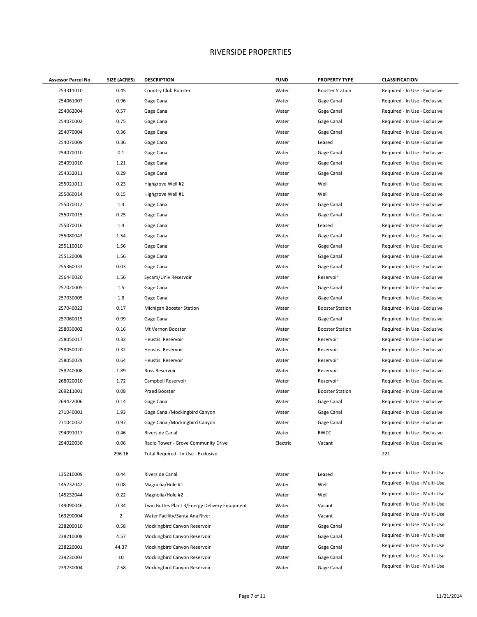| Assessor Parcel No. | SIZE (ACRES)   | <b>DESCRIPTION</b>                            | <b>FUND</b> | <b>PROPERTY TYPE</b>   | <b>CLASSIFICATION</b>         |
|---------------------|----------------|-----------------------------------------------|-------------|------------------------|-------------------------------|
| 253311010           | 0.45           | Country Club Booster                          | Water       | <b>Booster Station</b> | Required - In Use - Exclusive |
| 254061007           | 0.96           | Gage Canal                                    | Water       | Gage Canal             | Required - In Use - Exclusive |
| 254062004           | 0.57           | Gage Canal                                    | Water       | Gage Canal             | Required - In Use - Exclusive |
| 254070002           | 0.75           | Gage Canal                                    | Water       | Gage Canal             | Required - In Use - Exclusive |
| 254070004           | 0.36           | Gage Canal                                    | Water       | Gage Canal             | Required - In Use - Exclusive |
| 254070009           | 0.36           | Gage Canal                                    | Water       | Leased                 | Required - In Use - Exclusive |
| 254070010           | 0.1            | Gage Canal                                    | Water       | Gage Canal             | Required - In Use - Exclusive |
| 254091010           | 1.21           | Gage Canal                                    | Water       | Gage Canal             | Required - In Use - Exclusive |
| 254332011           | 0.29           | Gage Canal                                    | Water       | Gage Canal             | Required - In Use - Exclusive |
| 255021011           | 0.23           | Highgrove Well #2                             | Water       | Well                   | Required - In Use - Exclusive |
| 255060014           | 0.15           | Highgrove Well #1                             | Water       | Well                   | Required - In Use - Exclusive |
| 255070012           | 1.4            | Gage Canal                                    | Water       | Gage Canal             | Required - In Use - Exclusive |
| 255070015           | 0.25           | Gage Canal                                    | Water       | Gage Canal             | Required - In Use - Exclusive |
| 255070016           | 1.4            | Gage Canal                                    | Water       | Leased                 | Required - In Use - Exclusive |
| 255080043           | 1.54           | Gage Canal                                    | Water       | Gage Canal             | Required - In Use - Exclusive |
| 255110010           | 1.56           | Gage Canal                                    | Water       | Gage Canal             | Required - In Use - Exclusive |
| 255120008           | 1.56           | Gage Canal                                    | Water       | Gage Canal             | Required - In Use - Exclusive |
| 255360033           | 0.03           | Gage Canal                                    | Water       | Gage Canal             | Required - In Use - Exclusive |
| 256440020           | 1.56           | Sycam/Univ Reservoir                          | Water       | Reservoir              | Required - In Use - Exclusive |
| 257020005           | 1.5            | Gage Canal                                    | Water       | Gage Canal             | Required - In Use - Exclusive |
| 257030005           | 1.8            | Gage Canal                                    | Water       | Gage Canal             | Required - In Use - Exclusive |
| 257040023           | 0.17           | Michigan Booster Station                      | Water       | <b>Booster Station</b> | Required - In Use - Exclusive |
| 257060015           | 0.99           | Gage Canal                                    | Water       | Gage Canal             | Required - In Use - Exclusive |
| 258030002           | 0.16           | Mt Vernon Booster                             | Water       | <b>Booster Station</b> | Required - In Use - Exclusive |
| 258050017           | 0.32           | Heustis Reservoir                             | Water       | Reservoir              | Required - In Use - Exclusive |
| 258050020           | 0.32           | Heustis Reservoir                             | Water       | Reservoir              | Required - In Use - Exclusive |
| 258050029           | 0.64           | Heustis Reservoir                             | Water       | Reservoir              | Required - In Use - Exclusive |
| 258240008           | 1.89           | Ross Reservoir                                | Water       | Reservoir              | Required - In Use - Exclusive |
| 268020010           | 1.72           | Campbell Reservoir                            | Water       | Reservoir              | Required - In Use - Exclusive |
| 269211001           | 0.08           | Praed Booster                                 | Water       | <b>Booster Station</b> | Required - In Use - Exclusive |
| 269422006           | 0.14           | Gage Canal                                    | Water       | Gage Canal             | Required - In Use - Exclusive |
| 271040001           | 1.93           | Gage Canal/Mockingbird Canyon                 | Water       | Gage Canal             | Required - In Use - Exclusive |
| 271040032           | 0.97           | Gage Canal/Mockingbird Canyon                 | Water       | Gage Canal             | Required - In Use - Exclusive |
| 294091017           | 0.46           | Riverside Canal                               | Water       | <b>RWCC</b>            | Required - In Use - Exclusive |
| 294020030           | 0.06           | Radio Tower - Grove Community Drive           | Electric    | Vacant                 | Required - In Use - Exclusive |
|                     | 296.16         | Total Required - In Use - Exclusive           |             |                        | 221                           |
|                     |                |                                               |             |                        |                               |
| 135210009           | 0.44           | Riverside Canal                               | Water       | Leased                 | Required - In Use - Multi-Use |
| 145232042           | 0.08           | Magnolia/Hole #1                              | Water       | Well                   | Required - In Use - Multi-Use |
| 145232044           | 0.22           | Magnolia/Hole #2                              | Water       | Well                   | Required - In Use - Multi-Use |
| 149090046           | 0.34           | Twin Buttes Plant 3/Energy Delivery Equipment | Water       | Vacant                 | Required - In Use - Multi-Use |
| 163290004           | $\overline{2}$ | Water Facility/Santa Ana River                | Water       | Vacant                 | Required - In Use - Multi-Use |
| 238200010           | 0.58           | Mockingbird Canyon Reservoir                  | Water       | Gage Canal             | Required - In Use - Multi-Use |
| 238210008           | 4.57           | Mockingbird Canyon Reservoir                  | Water       | Gage Canal             | Required - In Use - Multi-Use |
| 238220001           | 44.37          | Mockingbird Canyon Reservoir                  | Water       | Gage Canal             | Required - In Use - Multi-Use |
| 239230003           | 10             | Mockingbird Canyon Reservoir                  | Water       | Gage Canal             | Required - In Use - Multi-Use |
| 239230004           | 7.58           | Mockingbird Canyon Reservoir                  | Water       | Gage Canal             | Required - In Use - Multi-Use |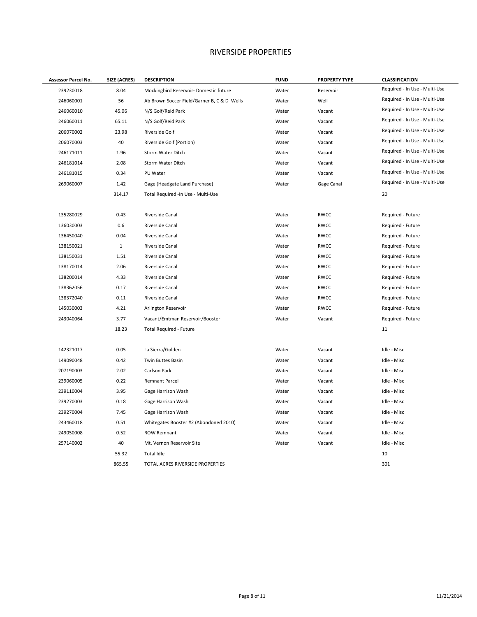| Assessor Parcel No. | SIZE (ACRES) | <b>DESCRIPTION</b>                          | <b>FUND</b> | <b>PROPERTY TYPE</b> | <b>CLASSIFICATION</b>         |
|---------------------|--------------|---------------------------------------------|-------------|----------------------|-------------------------------|
| 239230018           | 8.04         | Mockingbird Reservoir- Domestic future      | Water       | Reservoir            | Required - In Use - Multi-Use |
| 246060001           | 56           | Ab Brown Soccer Field/Garner B, C & D Wells | Water       | Well                 | Required - In Use - Multi-Use |
| 246060010           | 45.06        | N/S Golf/Reid Park                          | Water       | Vacant               | Required - In Use - Multi-Use |
| 246060011           | 65.11        | N/S Golf/Reid Park                          | Water       | Vacant               | Required - In Use - Multi-Use |
| 206070002           | 23.98        | Riverside Golf                              | Water       | Vacant               | Required - In Use - Multi-Use |
| 206070003           | 40           | Riverside Golf (Portion)                    | Water       | Vacant               | Required - In Use - Multi-Use |
| 246171011           | 1.96         | Storm Water Ditch                           | Water       | Vacant               | Required - In Use - Multi-Use |
| 246181014           | 2.08         | Storm Water Ditch                           | Water       | Vacant               | Required - In Use - Multi-Use |
| 246181015           | 0.34         | PU Water                                    | Water       | Vacant               | Required - In Use - Multi-Use |
| 269060007           | 1.42         | Gage (Headgate Land Purchase)               | Water       | Gage Canal           | Required - In Use - Multi-Use |
|                     | 314.17       | Total Required -In Use - Multi-Use          |             |                      | 20                            |
| 135280029           | 0.43         | Riverside Canal                             | Water       | RWCC                 | Required - Future             |
| 136030003           | 0.6          | Riverside Canal                             | Water       | RWCC                 | Required - Future             |
| 136450040           | 0.04         | Riverside Canal                             | Water       | RWCC                 | Required - Future             |
| 138150021           | $\mathbf{1}$ | Riverside Canal                             | Water       | RWCC                 | Required - Future             |
| 138150031           | 1.51         | Riverside Canal                             | Water       | RWCC                 | Required - Future             |
| 138170014           | 2.06         | Riverside Canal                             | Water       | RWCC                 | Required - Future             |
| 138200014           | 4.33         | Riverside Canal                             | Water       | RWCC                 | Required - Future             |
| 138362056           | 0.17         | Riverside Canal                             | Water       | RWCC                 | Required - Future             |
| 138372040           | 0.11         | Riverside Canal                             | Water       | RWCC                 | Required - Future             |
| 145030003           | 4.21         | Arlington Reservoir                         | Water       | RWCC                 | Required - Future             |
| 243040064           | 3.77         | Vacant/Emtman Reservoir/Booster             | Water       | Vacant               | Required - Future             |
|                     | 18.23        | <b>Total Required - Future</b>              |             |                      | 11                            |
| 142321017           | 0.05         | La Sierra/Golden                            | Water       | Vacant               | Idle - Misc                   |
| 149090048           | 0.42         | Twin Buttes Basin                           | Water       | Vacant               | Idle - Misc                   |
| 207190003           | 2.02         | Carlson Park                                | Water       | Vacant               | Idle - Misc                   |
| 239060005           | 0.22         | Remnant Parcel                              | Water       | Vacant               | Idle - Misc                   |
| 239110004           | 3.95         | Gage Harrison Wash                          | Water       | Vacant               | Idle - Misc                   |
| 239270003           | 0.18         | Gage Harrison Wash                          | Water       | Vacant               | Idle - Misc                   |
| 239270004           | 7.45         | Gage Harrison Wash                          | Water       | Vacant               | Idle - Misc                   |
| 243460018           | 0.51         | Whitegates Booster #2 (Abondoned 2010)      | Water       | Vacant               | Idle - Misc                   |
| 249050008           | 0.52         | <b>ROW Remnant</b>                          | Water       | Vacant               | Idle - Misc                   |
| 257140002           | 40           | Mt. Vernon Reservoir Site                   | Water       | Vacant               | Idle - Misc                   |
|                     | 55.32        | Total Idle                                  |             |                      | 10                            |
|                     | 865.55       | TOTAL ACRES RIVERSIDE PROPERTIES            |             |                      | 301                           |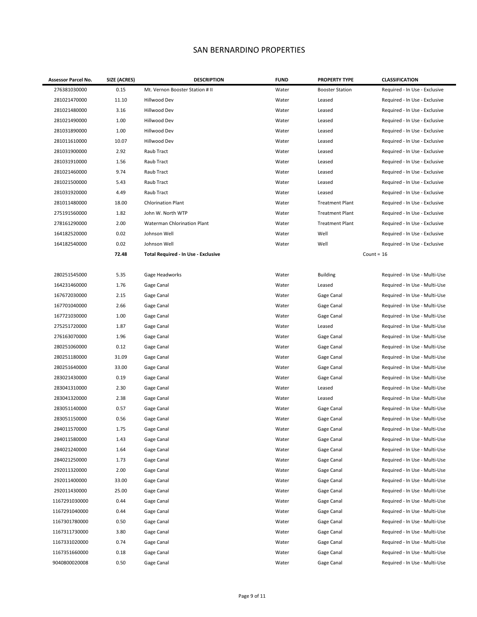#### SAN BERNARDINO PROPERTIES

| Assessor Parcel No. | SIZE (ACRES) | <b>DESCRIPTION</b>                  | <b>FUND</b> | <b>PROPERTY TYPE</b>   | <b>CLASSIFICATION</b>         |
|---------------------|--------------|-------------------------------------|-------------|------------------------|-------------------------------|
| 276381030000        | 0.15         | Mt. Vernon Booster Station # II     | Water       | <b>Booster Station</b> | Required - In Use - Exclusive |
| 281021470000        | 11.10        | Hillwood Dev                        | Water       | Leased                 | Required - In Use - Exclusive |
| 281021480000        | 3.16         | Hillwood Dev                        | Water       | Leased                 | Required - In Use - Exclusive |
| 281021490000        | 1.00         | Hillwood Dev                        | Water       | Leased                 | Required - In Use - Exclusive |
| 281031890000        | 1.00         | Hillwood Dev                        | Water       | Leased                 | Required - In Use - Exclusive |
| 281011610000        | 10.07        | Hillwood Dev                        | Water       | Leased                 | Required - In Use - Exclusive |
| 281031900000        | 2.92         | Raub Tract                          | Water       | Leased                 | Required - In Use - Exclusive |
| 281031910000        | 1.56         | Raub Tract                          | Water       | Leased                 | Required - In Use - Exclusive |
| 281021460000        | 9.74         | Raub Tract                          | Water       | Leased                 | Required - In Use - Exclusive |
| 281021500000        | 5.43         | Raub Tract                          | Water       | Leased                 | Required - In Use - Exclusive |
| 281031920000        | 4.49         | Raub Tract                          | Water       | Leased                 | Required - In Use - Exclusive |
| 281011480000        | 18.00        | <b>Chlorination Plant</b>           | Water       | <b>Treatment Plant</b> | Required - In Use - Exclusive |
| 275191560000        | 1.82         | John W. North WTP                   | Water       | <b>Treatment Plant</b> | Required - In Use - Exclusive |
| 278161290000        | 2.00         | Waterman Chlorination Plant         | Water       | <b>Treatment Plant</b> | Required - In Use - Exclusive |
| 164182520000        | 0.02         | Johnson Well                        | Water       | Well                   | Required - In Use - Exclusive |
| 164182540000        | 0.02         | Johnson Well                        | Water       | Well                   | Required - In Use - Exclusive |
|                     | 72.48        | Total Required - In Use - Exclusive |             | Count = $16$           |                               |
|                     |              |                                     |             |                        |                               |
| 280251545000        | 5.35         | Gage Headworks                      | Water       | <b>Building</b>        | Required - In Use - Multi-Use |
| 164231460000        | 1.76         | Gage Canal                          | Water       | Leased                 | Required - In Use - Multi-Use |
| 167672030000        | 2.15         | Gage Canal                          | Water       | Gage Canal             | Required - In Use - Multi-Use |
| 167701040000        | 2.66         | Gage Canal                          | Water       | Gage Canal             | Required - In Use - Multi-Use |
| 167721030000        | 1.00         | Gage Canal                          | Water       | Gage Canal             | Required - In Use - Multi-Use |
| 275251720000        | 1.87         | Gage Canal                          | Water       | Leased                 | Required - In Use - Multi-Use |
| 276163070000        | 1.96         | Gage Canal                          | Water       | Gage Canal             | Required - In Use - Multi-Use |
| 280251060000        | 0.12         | Gage Canal                          | Water       | Gage Canal             | Required - In Use - Multi-Use |
| 280251180000        | 31.09        | Gage Canal                          | Water       | Gage Canal             | Required - In Use - Multi-Use |
| 280251640000        | 33.00        | Gage Canal                          | Water       | Gage Canal             | Required - In Use - Multi-Use |
| 283021430000        | 0.19         | Gage Canal                          | Water       | Gage Canal             | Required - In Use - Multi-Use |
| 283041310000        | 2.30         | Gage Canal                          | Water       | Leased                 | Required - In Use - Multi-Use |
| 283041320000        | 2.38         | Gage Canal                          | Water       | Leased                 | Required - In Use - Multi-Use |
| 283051140000        | 0.57         | Gage Canal                          | Water       | Gage Canal             | Required - In Use - Multi-Use |
| 283051150000        | 0.56         | Gage Canal                          | Water       | Gage Canal             | Required - In Use - Multi-Use |
| 284011570000        | 1.75         | Gage Canal                          | Water       | Gage Canal             | Required - In Use - Multi-Use |
| 284011580000        | 1.43         | Gage Canal                          | Water       | Gage Canal             | Required - In Use - Multi-Use |
| 284021240000        | 1.64         | Gage Canal                          | Water       | Gage Canal             | Required - In Use - Multi-Use |
| 284021250000        | 1.73         | Gage Canal                          | Water       | Gage Canal             | Required - In Use - Multi-Use |
| 292011320000        | 2.00         | Gage Canal                          | Water       | Gage Canal             | Required - In Use - Multi-Use |
| 292011400000        | 33.00        | Gage Canal                          | Water       | Gage Canal             | Required - In Use - Multi-Use |
| 292011430000        | 25.00        | Gage Canal                          | Water       | Gage Canal             | Required - In Use - Multi-Use |
| 1167291030000       | 0.44         | Gage Canal                          | Water       | Gage Canal             | Required - In Use - Multi-Use |
| 1167291040000       | 0.44         | Gage Canal                          | Water       | Gage Canal             | Required - In Use - Multi-Use |
| 1167301780000       | 0.50         | Gage Canal                          | Water       | Gage Canal             | Required - In Use - Multi-Use |
| 1167311730000       | 3.80         | Gage Canal                          | Water       | Gage Canal             | Required - In Use - Multi-Use |
| 1167331020000       | 0.74         | Gage Canal                          | Water       | Gage Canal             | Required - In Use - Multi-Use |
| 1167351660000       | 0.18         | Gage Canal                          | Water       | Gage Canal             | Required - In Use - Multi-Use |
| 9040800020008       | 0.50         | Gage Canal                          | Water       | Gage Canal             | Required - In Use - Multi-Use |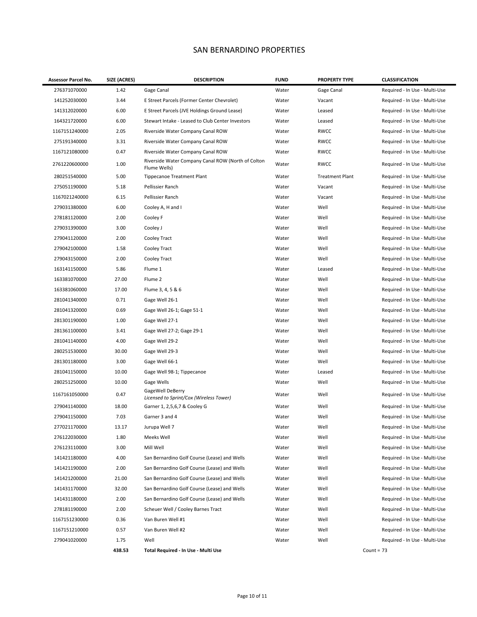#### SAN BERNARDINO PROPERTIES

| Assessor Parcel No. | SIZE (ACRES) | <b>DESCRIPTION</b>                                                 | <b>FUND</b> | <b>PROPERTY TYPE</b>   | <b>CLASSIFICATION</b>         |
|---------------------|--------------|--------------------------------------------------------------------|-------------|------------------------|-------------------------------|
| 276371070000        | 1.42         | Gage Canal                                                         | Water       | Gage Canal             | Required - In Use - Multi-Use |
| 141252030000        | 3.44         | E Street Parcels (Former Center Chevrolet)                         | Water       | Vacant                 | Required - In Use - Multi-Use |
| 141312020000        | 6.00         | E Street Parcels (JVE Holdings Ground Lease)                       | Water       | Leased                 | Required - In Use - Multi-Use |
| 164321720000        | 6.00         | Stewart Intake - Leased to Club Center Investors                   | Water       | Leased                 | Required - In Use - Multi-Use |
| 1167151240000       | 2.05         | Riverside Water Company Canal ROW                                  | Water       | <b>RWCC</b>            | Required - In Use - Multi-Use |
| 275191340000        | 3.31         | Riverside Water Company Canal ROW                                  | Water       | <b>RWCC</b>            | Required - In Use - Multi-Use |
| 1167121080000       | 0.47         | Riverside Water Company Canal ROW                                  | Water       | <b>RWCC</b>            | Required - In Use - Multi-Use |
| 2761220600000       | 1.00         | Riverside Water Company Canal ROW (North of Colton<br>Flume Wells) | Water       | <b>RWCC</b>            | Required - In Use - Multi-Use |
| 280251540000        | 5.00         | <b>Tippecanoe Treatment Plant</b>                                  | Water       | <b>Treatment Plant</b> | Required - In Use - Multi-Use |
| 275051190000        | 5.18         | Pellissier Ranch                                                   | Water       | Vacant                 | Required - In Use - Multi-Use |
| 1167021240000       | 6.15         | Pellissier Ranch                                                   | Water       | Vacant                 | Required - In Use - Multi-Use |
| 279031380000        | 6.00         | Cooley A, H and I                                                  | Water       | Well                   | Required - In Use - Multi-Use |
| 278181120000        | 2.00         | Cooley F                                                           | Water       | Well                   | Required - In Use - Multi-Use |
| 279031390000        | 3.00         | Cooley J                                                           | Water       | Well                   | Required - In Use - Multi-Use |
| 279041120000        | 2.00         | Cooley Tract                                                       | Water       | Well                   | Required - In Use - Multi-Use |
| 279042100000        | 1.58         | Cooley Tract                                                       | Water       | Well                   | Required - In Use - Multi-Use |
| 279043150000        | 2.00         | Cooley Tract                                                       | Water       | Well                   | Required - In Use - Multi-Use |
| 163141150000        | 5.86         | Flume 1                                                            | Water       | Leased                 | Required - In Use - Multi-Use |
| 163381070000        | 27.00        | Flume 2                                                            | Water       | Well                   | Required - In Use - Multi-Use |
| 163381060000        | 17.00        | Flume 3, 4, 5 & 6                                                  | Water       | Well                   | Required - In Use - Multi-Use |
| 281041340000        | 0.71         | Gage Well 26-1                                                     | Water       | Well                   | Required - In Use - Multi-Use |
| 281041320000        | 0.69         | Gage Well 26-1; Gage 51-1                                          | Water       | Well                   | Required - In Use - Multi-Use |
| 281301190000        | 1.00         | Gage Well 27-1                                                     | Water       | Well                   | Required - In Use - Multi-Use |
| 281361100000        | 3.41         | Gage Well 27-2; Gage 29-1                                          | Water       | Well                   | Required - In Use - Multi-Use |
| 281041140000        | 4.00         | Gage Well 29-2                                                     | Water       | Well                   | Required - In Use - Multi-Use |
| 280251530000        | 30.00        | Gage Well 29-3                                                     | Water       | Well                   | Required - In Use - Multi-Use |
| 281301180000        | 3.00         | Gage Well 66-1                                                     | Water       | Well                   | Required - In Use - Multi-Use |
| 281041150000        | 10.00        | Gage Well 98-1; Tippecanoe                                         | Water       | Leased                 | Required - In Use - Multi-Use |
| 280251250000        | 10.00        | Gage Wells                                                         | Water       | Well                   | Required - In Use - Multi-Use |
| 1167161050000       | 0.47         | GageWell DeBerry<br>Licensed to Sprint/Cox (Wireless Tower)        | Water       | Well                   | Required - In Use - Multi-Use |
| 279041140000        | 18.00        | Garner 1, 2,5,6,7 & Cooley G                                       | Water       | Well                   | Required - In Use - Multi-Use |
| 279041150000        | 7.03         | Garner 3 and 4                                                     | Water       | Well                   | Required - In Use - Multi-Use |
| 277021170000        | 13.17        | Jurupa Well 7                                                      | Water       | Well                   | Required - In Use - Multi-Use |
| 276122030000        | 1.80         | Meeks Well                                                         | Water       | Well                   | Required - In Use - Multi-Use |
| 276123110000        | 3.00         | Mill Well                                                          | Water       | Well                   | Required - In Use - Multi-Use |
| 141421180000        | 4.00         | San Bernardino Golf Course (Lease) and Wells                       | Water       | Well                   | Required - In Use - Multi-Use |
| 141421190000        | 2.00         | San Bernardino Golf Course (Lease) and Wells                       | Water       | Well                   | Required - In Use - Multi-Use |
| 141421200000        | 21.00        | San Bernardino Golf Course (Lease) and Wells                       | Water       | Well                   | Required - In Use - Multi-Use |
| 141431170000        | 32.00        | San Bernardino Golf Course (Lease) and Wells                       | Water       | Well                   | Required - In Use - Multi-Use |
| 141431180000        | 2.00         | San Bernardino Golf Course (Lease) and Wells                       | Water       | Well                   | Required - In Use - Multi-Use |
| 278181190000        | 2.00         | Scheuer Well / Cooley Barnes Tract                                 | Water       | Well                   | Required - In Use - Multi-Use |
| 1167151230000       | 0.36         | Van Buren Well #1                                                  | Water       | Well                   | Required - In Use - Multi-Use |
| 1167151210000       | 0.57         | Van Buren Well #2                                                  | Water       | Well                   | Required - In Use - Multi-Use |
| 279041020000        | 1.75         | Well                                                               | Water       | Well                   | Required - In Use - Multi-Use |
|                     | 438.53       | Total Required - In Use - Multi Use                                |             |                        | Count = $73$                  |